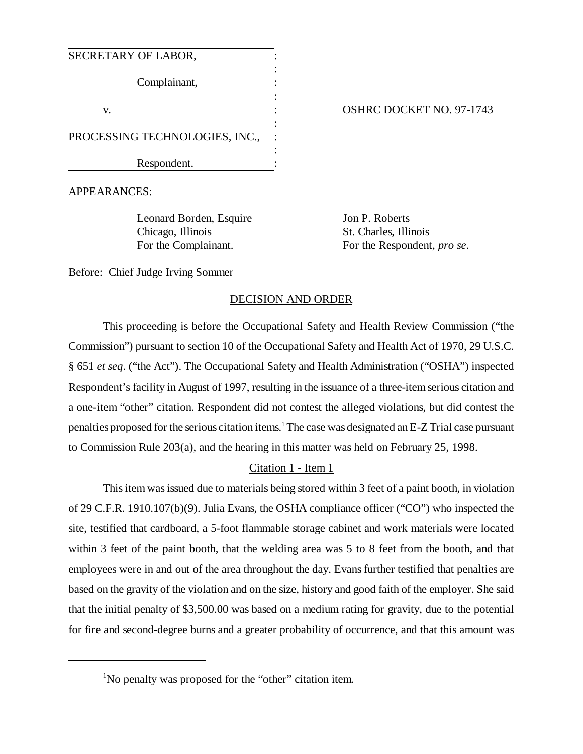| SECRETARY OF LABOR,            |  |
|--------------------------------|--|
| Complainant,                   |  |
| V.                             |  |
| PROCESSING TECHNOLOGIES, INC., |  |
| Respondent.                    |  |

OSHRC DOCKET NO. 97-1743

APPEARANCES:

Leonard Borden, Esquire Jon P. Roberts Chicago, Illinois St. Charles, Illinois

For the Complainant. For the Respondent, *pro se*.

Before: Chief Judge Irving Sommer

# DECISION AND ORDER

This proceeding is before the Occupational Safety and Health Review Commission ("the Commission") pursuant to section 10 of the Occupational Safety and Health Act of 1970, 29 U.S.C. § 651 *et seq*. ("the Act"). The Occupational Safety and Health Administration ("OSHA") inspected Respondent's facility in August of 1997, resulting in the issuance of a three-item serious citation and a one-item "other" citation. Respondent did not contest the alleged violations, but did contest the penalties proposed for the serious citation items.<sup>1</sup> The case was designated an E-Z Trial case pursuant to Commission Rule 203(a), and the hearing in this matter was held on February 25, 1998.

# Citation 1 - Item 1

This item was issued due to materials being stored within 3 feet of a paint booth, in violation of 29 C.F.R. 1910.107(b)(9). Julia Evans, the OSHA compliance officer ("CO") who inspected the site, testified that cardboard, a 5-foot flammable storage cabinet and work materials were located within 3 feet of the paint booth, that the welding area was 5 to 8 feet from the booth, and that employees were in and out of the area throughout the day. Evans further testified that penalties are based on the gravity of the violation and on the size, history and good faith of the employer. She said that the initial penalty of \$3,500.00 was based on a medium rating for gravity, due to the potential for fire and second-degree burns and a greater probability of occurrence, and that this amount was

<sup>&</sup>lt;sup>1</sup>No penalty was proposed for the "other" citation item.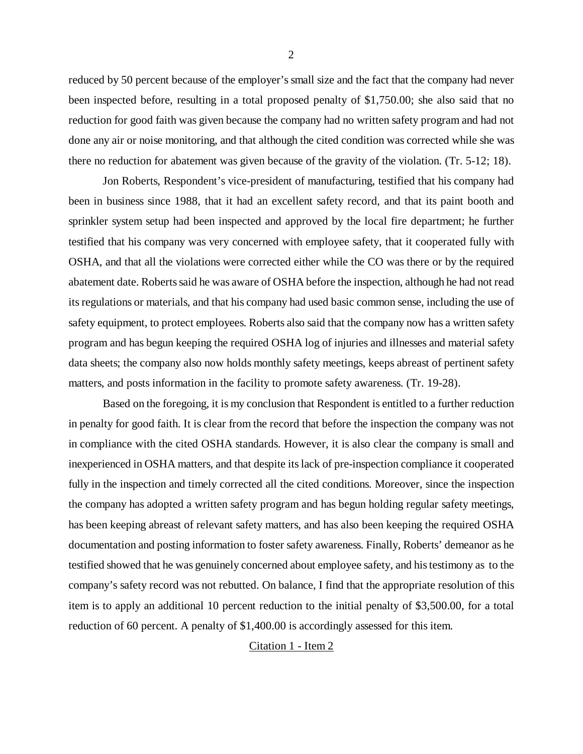reduced by 50 percent because of the employer's small size and the fact that the company had never been inspected before, resulting in a total proposed penalty of \$1,750.00; she also said that no reduction for good faith was given because the company had no written safety program and had not done any air or noise monitoring, and that although the cited condition was corrected while she was there no reduction for abatement was given because of the gravity of the violation. (Tr. 5-12; 18).

Jon Roberts, Respondent's vice-president of manufacturing, testified that his company had been in business since 1988, that it had an excellent safety record, and that its paint booth and sprinkler system setup had been inspected and approved by the local fire department; he further testified that his company was very concerned with employee safety, that it cooperated fully with OSHA, and that all the violations were corrected either while the CO was there or by the required abatement date. Roberts said he was aware of OSHA before the inspection, although he had not read its regulations or materials, and that his company had used basic common sense, including the use of safety equipment, to protect employees. Roberts also said that the company now has a written safety program and has begun keeping the required OSHA log of injuries and illnesses and material safety data sheets; the company also now holds monthly safety meetings, keeps abreast of pertinent safety matters, and posts information in the facility to promote safety awareness. (Tr. 19-28).

Based on the foregoing, it is my conclusion that Respondent is entitled to a further reduction in penalty for good faith. It is clear from the record that before the inspection the company was not in compliance with the cited OSHA standards. However, it is also clear the company is small and inexperienced in OSHA matters, and that despite its lack of pre-inspection compliance it cooperated fully in the inspection and timely corrected all the cited conditions. Moreover, since the inspection the company has adopted a written safety program and has begun holding regular safety meetings, has been keeping abreast of relevant safety matters, and has also been keeping the required OSHA documentation and posting information to foster safety awareness. Finally, Roberts' demeanor as he testified showed that he was genuinely concerned about employee safety, and his testimony as to the company's safety record was not rebutted. On balance, I find that the appropriate resolution of this item is to apply an additional 10 percent reduction to the initial penalty of \$3,500.00, for a total reduction of 60 percent. A penalty of \$1,400.00 is accordingly assessed for this item.

### Citation 1 - Item 2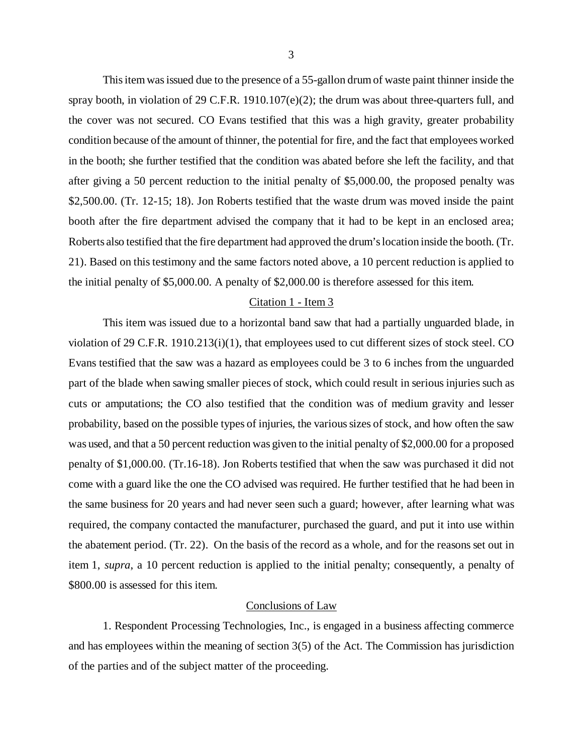This item was issued due to the presence of a 55-gallon drum of waste paint thinner inside the spray booth, in violation of 29 C.F.R. 1910.107( $e$ )(2); the drum was about three-quarters full, and the cover was not secured. CO Evans testified that this was a high gravity, greater probability condition because of the amount of thinner, the potential for fire, and the fact that employees worked in the booth; she further testified that the condition was abated before she left the facility, and that after giving a 50 percent reduction to the initial penalty of \$5,000.00, the proposed penalty was \$2,500.00. (Tr. 12-15; 18). Jon Roberts testified that the waste drum was moved inside the paint booth after the fire department advised the company that it had to be kept in an enclosed area; Roberts also testified that the fire department had approved the drum's location inside the booth. (Tr. 21). Based on this testimony and the same factors noted above, a 10 percent reduction is applied to the initial penalty of \$5,000.00. A penalty of \$2,000.00 is therefore assessed for this item.

#### Citation 1 - Item 3

This item was issued due to a horizontal band saw that had a partially unguarded blade, in violation of 29 C.F.R. 1910.213(i)(1), that employees used to cut different sizes of stock steel. CO Evans testified that the saw was a hazard as employees could be 3 to 6 inches from the unguarded part of the blade when sawing smaller pieces of stock, which could result in serious injuries such as cuts or amputations; the CO also testified that the condition was of medium gravity and lesser probability, based on the possible types of injuries, the various sizes of stock, and how often the saw was used, and that a 50 percent reduction was given to the initial penalty of \$2,000.00 for a proposed penalty of \$1,000.00. (Tr.16-18). Jon Roberts testified that when the saw was purchased it did not come with a guard like the one the CO advised was required. He further testified that he had been in the same business for 20 years and had never seen such a guard; however, after learning what was required, the company contacted the manufacturer, purchased the guard, and put it into use within the abatement period. (Tr. 22). On the basis of the record as a whole, and for the reasons set out in item 1, *supra*, a 10 percent reduction is applied to the initial penalty; consequently, a penalty of \$800.00 is assessed for this item.

#### Conclusions of Law

1. Respondent Processing Technologies, Inc., is engaged in a business affecting commerce and has employees within the meaning of section 3(5) of the Act. The Commission has jurisdiction of the parties and of the subject matter of the proceeding.